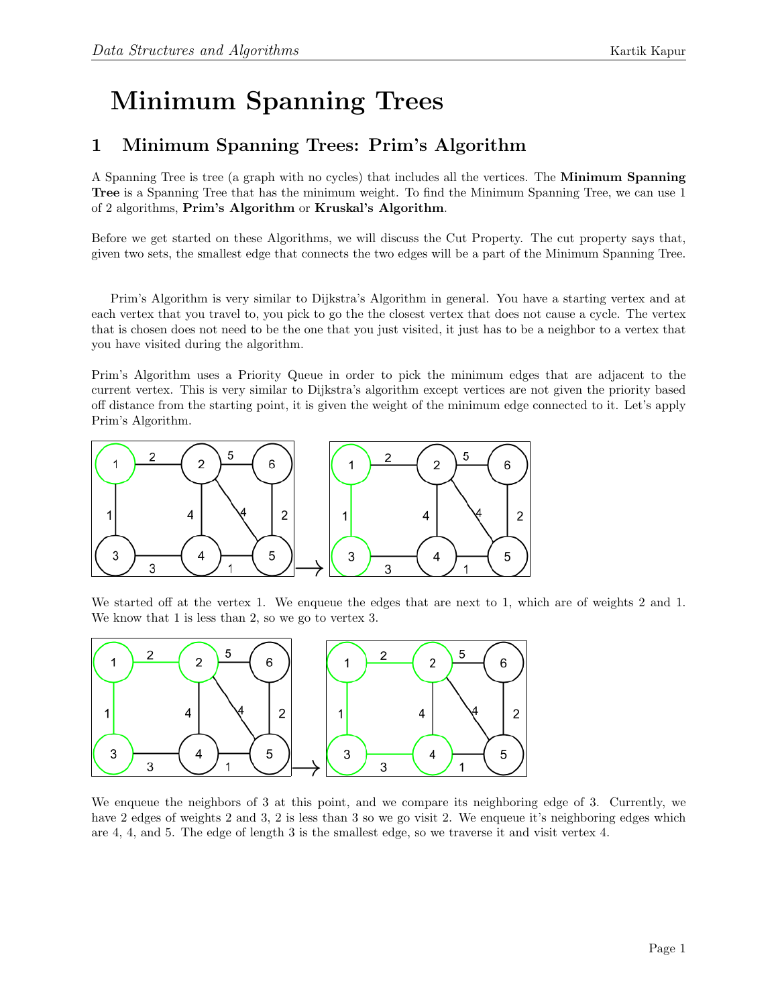## Minimum Spanning Trees

## 1 Minimum Spanning Trees: Prim's Algorithm

A Spanning Tree is tree (a graph with no cycles) that includes all the vertices. The Minimum Spanning Tree is a Spanning Tree that has the minimum weight. To find the Minimum Spanning Tree, we can use 1 of 2 algorithms, Prim's Algorithm or Kruskal's Algorithm.

Before we get started on these Algorithms, we will discuss the Cut Property. The cut property says that, given two sets, the smallest edge that connects the two edges will be a part of the Minimum Spanning Tree.

Prim's Algorithm is very similar to Dijkstra's Algorithm in general. You have a starting vertex and at each vertex that you travel to, you pick to go the the closest vertex that does not cause a cycle. The vertex that is chosen does not need to be the one that you just visited, it just has to be a neighbor to a vertex that you have visited during the algorithm.

Prim's Algorithm uses a Priority Queue in order to pick the minimum edges that are adjacent to the current vertex. This is very similar to Dijkstra's algorithm except vertices are not given the priority based off distance from the starting point, it is given the weight of the minimum edge connected to it. Let's apply Prim's Algorithm.



We started off at the vertex 1. We enqueue the edges that are next to 1, which are of weights 2 and 1. We know that 1 is less than 2, so we go to vertex 3.



We enqueue the neighbors of 3 at this point, and we compare its neighboring edge of 3. Currently, we have 2 edges of weights 2 and 3, 2 is less than 3 so we go visit 2. We enqueue it's neighboring edges which are 4, 4, and 5. The edge of length 3 is the smallest edge, so we traverse it and visit vertex 4.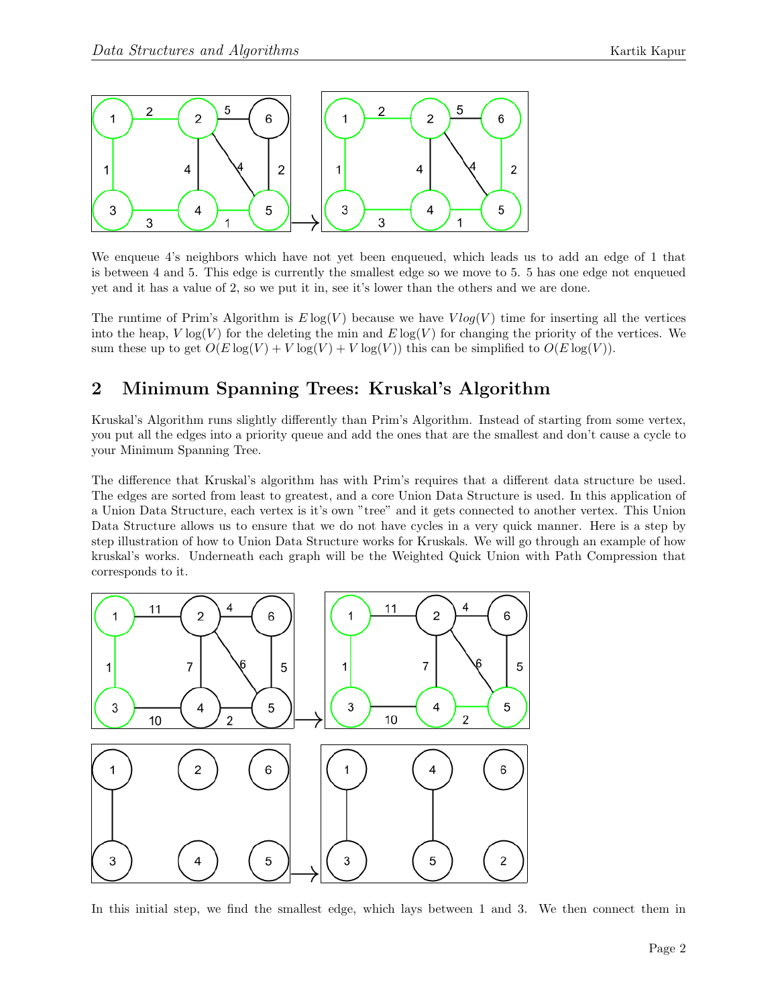

We enqueue 4's neighbors which have not yet been enqueued, which leads us to add an edge of 1 that is between 4 and 5. This edge is currently the smallest edge so we move to 5. 5 has one edge not enqueued yet and it has a value of 2, so we put it in, see it's lower than the others and we are done.

The runtime of Prim's Algorithm is  $E \log(V)$  because we have  $V \log(V)$  time for inserting all the vertices into the heap,  $V \log(V)$  for the deleting the min and  $E \log(V)$  for changing the priority of the vertices. We sum these up to get  $O(E \log(V) + V \log(V) + V \log(V))$  this can be simplified to  $O(E \log(V))$ .

## 2 Minimum Spanning Trees: Kruskal's Algorithm

Kruskal's Algorithm runs slightly differently than Prim's Algorithm. Instead of starting from some vertex, you put all the edges into a priority queue and add the ones that are the smallest and don't cause a cycle to your Minimum Spanning Tree.

The difference that Kruskal's algorithm has with Prim's requires that a different data structure be used. The edges are sorted from least to greatest, and a core Union Data Structure is used. In this application of a Union Data Structure, each vertex is it's own "tree" and it gets connected to another vertex. This Union Data Structure allows us to ensure that we do not have cycles in a very quick manner. Here is a step by step illustration of how to Union Data Structure works for Kruskals. We will go through an example of how kruskal's works. Underneath each graph will be the Weighted Quick Union with Path Compression that corresponds to it.



In this initial step, we find the smallest edge, which lays between 1 and 3. We then connect them in